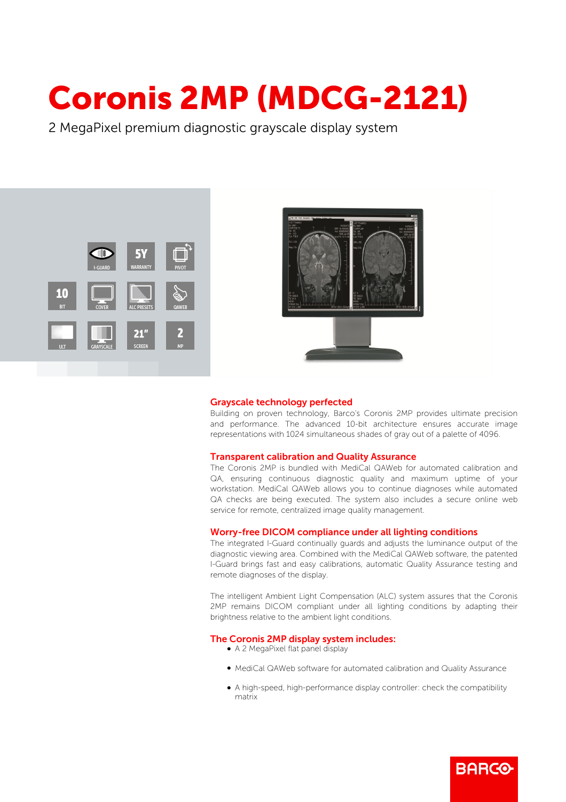# Coronis 2MP (MDCG-2121)

2 MegaPixel premium diagnostic grayscale display system





#### Grayscale technology perfected

Building on proven technology, Barco's Coronis 2MP provides ultimate precision and performance. The advanced 10-bit architecture ensures accurate image representations with 1024 simultaneous shades of gray out of a palette of 4096.

#### Transparent calibration and Quality Assurance

The Coronis 2MP is bundled with MediCal QAWeb for automated calibration and QA, ensuring continuous diagnostic quality and maximum uptime of your workstation. MediCal QAWeb allows you to continue diagnoses while automated QA checks are being executed. The system also includes a secure online web service for remote, centralized image quality management.

## Worry-free DICOM compliance under all lighting conditions

The integrated I-Guard continually guards and adjusts the luminance output of the diagnostic viewing area. Combined with the MediCal QAWeb software, the patented I-Guard brings fast and easy calibrations, automatic Quality Assurance testing and remote diagnoses of the display.

The intelligent Ambient Light Compensation (ALC) system assures that the Coronis 2MP remains DICOM compliant under all lighting conditions by adapting their brightness relative to the ambient light conditions.

## The Coronis 2MP display system includes:

- A 2 MegaPixel flat panel display
- b MediCal QAWeb software for automated calibration and Quality Assurance
- b A high-speed, high-performance display controller: check the compatibility matrix

**BARGO**